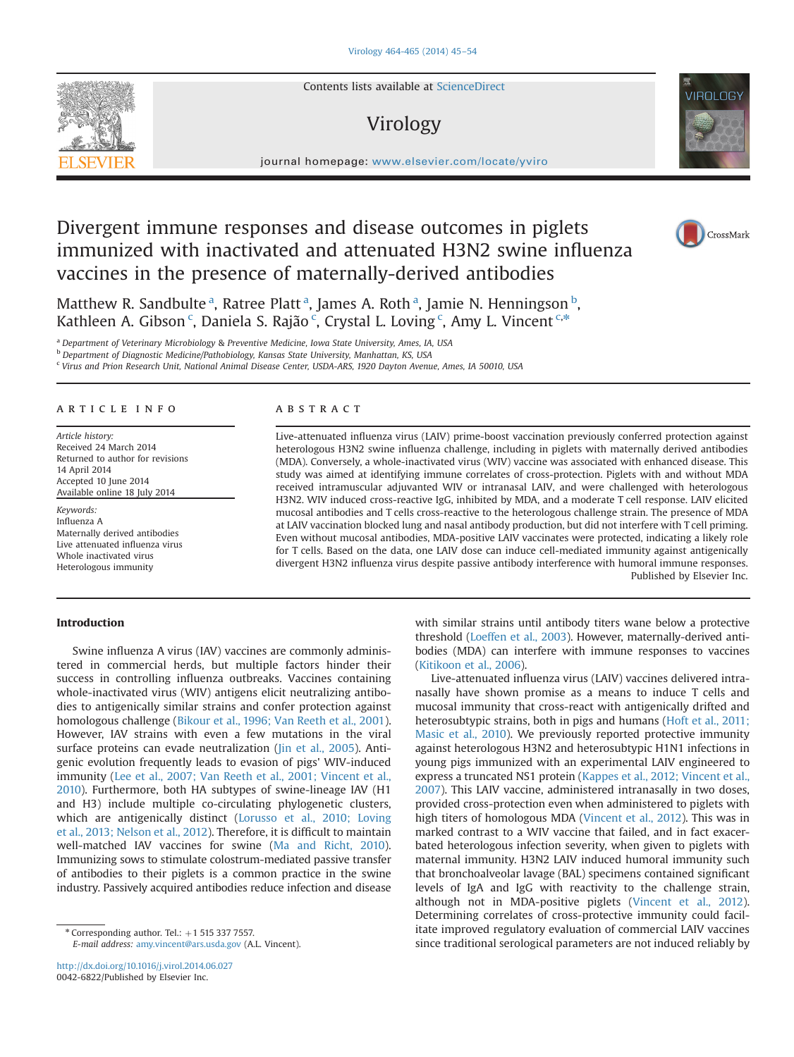

Contents lists available at [ScienceDirect](www.sciencedirect.com/science/journal/00426822)

# Virology



journal homepage: <www.elsevier.com/locate/yviro>

# Divergent immune responses and disease outcomes in piglets immunized with inactivated and attenuated H3N2 swine influenza vaccines in the presence of maternally-derived antibodies



Matthew R. Sandbulte<sup>a</sup>, Ratree Platt<sup>a</sup>, James A. Roth<sup>a</sup>, Jamie N. Henningson<sup>b</sup>, Kathleen A. Gibson <sup>c</sup>, Daniela S. Rajão <sup>c</sup>, Crystal L. Loving <sup>c</sup>, Amy L. Vincent <sup>c,\*</sup>

<sup>a</sup> Department of Veterinary Microbiology & Preventive Medicine, Iowa State University, Ames, IA, USA

b Department of Diagnostic Medicine/Pathobiology, Kansas State University, Manhattan, KS, USA

<sup>c</sup> Virus and Prion Research Unit, National Animal Disease Center, USDA-ARS, 1920 Dayton Avenue, Ames, IA 50010, USA

# article info

Article history: Received 24 March 2014 Returned to author for revisions 14 April 2014 Accepted 10 June 2014 Available online 18 July 2014

Keywords: Influenza A Maternally derived antibodies Live attenuated influenza virus Whole inactivated virus Heterologous immunity

# **ABSTRACT**

Live-attenuated influenza virus (LAIV) prime-boost vaccination previously conferred protection against heterologous H3N2 swine influenza challenge, including in piglets with maternally derived antibodies (MDA). Conversely, a whole-inactivated virus (WIV) vaccine was associated with enhanced disease. This study was aimed at identifying immune correlates of cross-protection. Piglets with and without MDA received intramuscular adjuvanted WIV or intranasal LAIV, and were challenged with heterologous H3N2. WIV induced cross-reactive IgG, inhibited by MDA, and a moderate T cell response. LAIV elicited mucosal antibodies and T cells cross-reactive to the heterologous challenge strain. The presence of MDA at LAIV vaccination blocked lung and nasal antibody production, but did not interfere with T cell priming. Even without mucosal antibodies, MDA-positive LAIV vaccinates were protected, indicating a likely role for T cells. Based on the data, one LAIV dose can induce cell-mediated immunity against antigenically divergent H3N2 influenza virus despite passive antibody interference with humoral immune responses. Published by Elsevier Inc.

# Introduction

Swine influenza A virus (IAV) vaccines are commonly administered in commercial herds, but multiple factors hinder their success in controlling influenza outbreaks. Vaccines containing whole-inactivated virus (WIV) antigens elicit neutralizing antibodies to antigenically similar strains and confer protection against homologous challenge [\(Bikour et al., 1996; Van Reeth et al., 2001\)](#page-9-0). However, IAV strains with even a few mutations in the viral surface proteins can evade neutralization ([Jin et al., 2005](#page-9-0)). Antigenic evolution frequently leads to evasion of pigs' WIV-induced immunity ([Lee et al., 2007; Van Reeth et al., 2001; Vincent et al.,](#page-9-0) [2010\)](#page-9-0). Furthermore, both HA subtypes of swine-lineage IAV (H1 and H3) include multiple co-circulating phylogenetic clusters, which are antigenically distinct ([Lorusso et al., 2010; Loving](#page-9-0) [et al., 2013; Nelson et al., 2012\)](#page-9-0). Therefore, it is difficult to maintain well-matched IAV vaccines for swine [\(Ma and Richt, 2010\)](#page-9-0). Immunizing sows to stimulate colostrum-mediated passive transfer of antibodies to their piglets is a common practice in the swine industry. Passively acquired antibodies reduce infection and disease

 $*$  Corresponding author. Tel.:  $+1$  515 337 7557. E-mail address: [amy.vincent@ars.usda.gov](mailto:amy.vincent@ars.usda.gov) (A.L. Vincent).

<http://dx.doi.org/10.1016/j.virol.2014.06.027> 0042-6822/Published by Elsevier Inc.

with similar strains until antibody titers wane below a protective threshold ([Loeffen et al., 2003](#page-9-0)). However, maternally-derived antibodies (MDA) can interfere with immune responses to vaccines [\(Kitikoon et al., 2006\)](#page-9-0).

Live-attenuated influenza virus (LAIV) vaccines delivered intranasally have shown promise as a means to induce T cells and mucosal immunity that cross-react with antigenically drifted and heterosubtypic strains, both in pigs and humans [\(Hoft et al., 2011;](#page-9-0) [Masic et al., 2010\)](#page-9-0). We previously reported protective immunity against heterologous H3N2 and heterosubtypic H1N1 infections in young pigs immunized with an experimental LAIV engineered to express a truncated NS1 protein ([Kappes et al., 2012; Vincent et al.,](#page-9-0) [2007\)](#page-9-0). This LAIV vaccine, administered intranasally in two doses, provided cross-protection even when administered to piglets with high titers of homologous MDA ([Vincent et al., 2012](#page-9-0)). This was in marked contrast to a WIV vaccine that failed, and in fact exacerbated heterologous infection severity, when given to piglets with maternal immunity. H3N2 LAIV induced humoral immunity such that bronchoalveolar lavage (BAL) specimens contained significant levels of IgA and IgG with reactivity to the challenge strain, although not in MDA-positive piglets ([Vincent et al., 2012\)](#page-9-0). Determining correlates of cross-protective immunity could facilitate improved regulatory evaluation of commercial LAIV vaccines since traditional serological parameters are not induced reliably by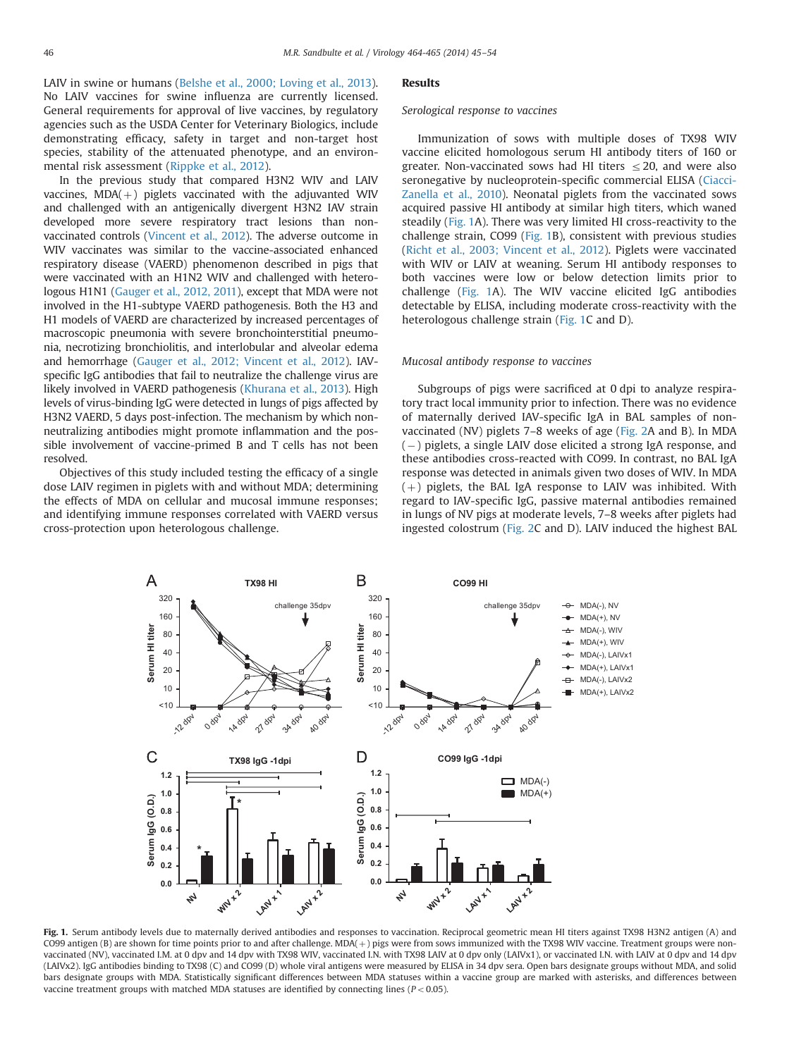<span id="page-1-0"></span>LAIV in swine or humans ([Belshe et al., 2000; Loving et al., 2013\)](#page-9-0). No LAIV vaccines for swine influenza are currently licensed. General requirements for approval of live vaccines, by regulatory agencies such as the USDA Center for Veterinary Biologics, include demonstrating efficacy, safety in target and non-target host species, stability of the attenuated phenotype, and an environmental risk assessment ([Rippke et al., 2012](#page-9-0)).

In the previous study that compared H3N2 WIV and LAIV vaccines,  $MDA(+)$  piglets vaccinated with the adjuvanted WIV and challenged with an antigenically divergent H3N2 IAV strain developed more severe respiratory tract lesions than nonvaccinated controls [\(Vincent et al., 2012](#page-9-0)). The adverse outcome in WIV vaccinates was similar to the vaccine-associated enhanced respiratory disease (VAERD) phenomenon described in pigs that were vaccinated with an H1N2 WIV and challenged with heterologous H1N1 [\(Gauger et al., 2012, 2011\)](#page-9-0), except that MDA were not involved in the H1-subtype VAERD pathogenesis. Both the H3 and H1 models of VAERD are characterized by increased percentages of macroscopic pneumonia with severe bronchointerstitial pneumonia, necrotizing bronchiolitis, and interlobular and alveolar edema and hemorrhage ([Gauger et al., 2012; Vincent et al., 2012](#page-9-0)). IAVspecific IgG antibodies that fail to neutralize the challenge virus are likely involved in VAERD pathogenesis [\(Khurana et al., 2013](#page-9-0)). High levels of virus-binding IgG were detected in lungs of pigs affected by H3N2 VAERD, 5 days post-infection. The mechanism by which nonneutralizing antibodies might promote inflammation and the possible involvement of vaccine-primed B and T cells has not been resolved.

Objectives of this study included testing the efficacy of a single dose LAIV regimen in piglets with and without MDA; determining the effects of MDA on cellular and mucosal immune responses; and identifying immune responses correlated with VAERD versus cross-protection upon heterologous challenge.

#### **Results**

## Serological response to vaccines

Immunization of sows with multiple doses of TX98 WIV vaccine elicited homologous serum HI antibody titers of 160 or greater. Non-vaccinated sows had HI titers  $\leq$  20, and were also seronegative by nucleoprotein-specific commercial ELISA ([Ciacci-](#page-9-0)[Zanella et al., 2010](#page-9-0)). Neonatal piglets from the vaccinated sows acquired passive HI antibody at similar high titers, which waned steadily (Fig. 1A). There was very limited HI cross-reactivity to the challenge strain, CO99 (Fig. 1B), consistent with previous studies ([Richt et al., 2003; Vincent et al., 2012](#page-9-0)). Piglets were vaccinated with WIV or LAIV at weaning. Serum HI antibody responses to both vaccines were low or below detection limits prior to challenge (Fig. 1A). The WIV vaccine elicited IgG antibodies detectable by ELISA, including moderate cross-reactivity with the heterologous challenge strain (Fig. 1C and D).

## Mucosal antibody response to vaccines

Subgroups of pigs were sacrificed at 0 dpi to analyze respiratory tract local immunity prior to infection. There was no evidence of maternally derived IAV-specific IgA in BAL samples of nonvaccinated (NV) piglets 7–8 weeks of age ([Fig. 2A](#page-2-0) and B). In MDA (-) piglets, a single LAIV dose elicited a strong IgA response, and these antibodies cross-reacted with CO99. In contrast, no BAL IgA response was detected in animals given two doses of WIV. In MDA  $(+)$  piglets, the BAL IgA response to LAIV was inhibited. With regard to IAV-specific IgG, passive maternal antibodies remained in lungs of NV pigs at moderate levels, 7–8 weeks after piglets had ingested colostrum [\(Fig. 2C](#page-2-0) and D). LAIV induced the highest BAL



Fig. 1. Serum antibody levels due to maternally derived antibodies and responses to vaccination. Reciprocal geometric mean HI titers against TX98 H3N2 antigen (A) and CO99 antigen (B) are shown for time points prior to and after challenge. MDA(+) pigs were from sows immunized with the TX98 WIV vaccine. Treatment groups were nonvaccinated (NV), vaccinated I.M. at 0 dpv and 14 dpv with TX98 WIV, vaccinated I.N. with TX98 LAIV at 0 dpv only (LAIVx1), or vaccinated I.N. with LAIV at 0 dpv and 14 dpv (LAIVx2). IgG antibodies binding to TX98 (C) and CO99 (D) whole viral antigens were measured by ELISA in 34 dpv sera. Open bars designate groups without MDA, and solid bars designate groups with MDA. Statistically significant differences between MDA statuses within a vaccine group are marked with asterisks, and differences between vaccine treatment groups with matched MDA statuses are identified by connecting lines ( $P < 0.05$ ).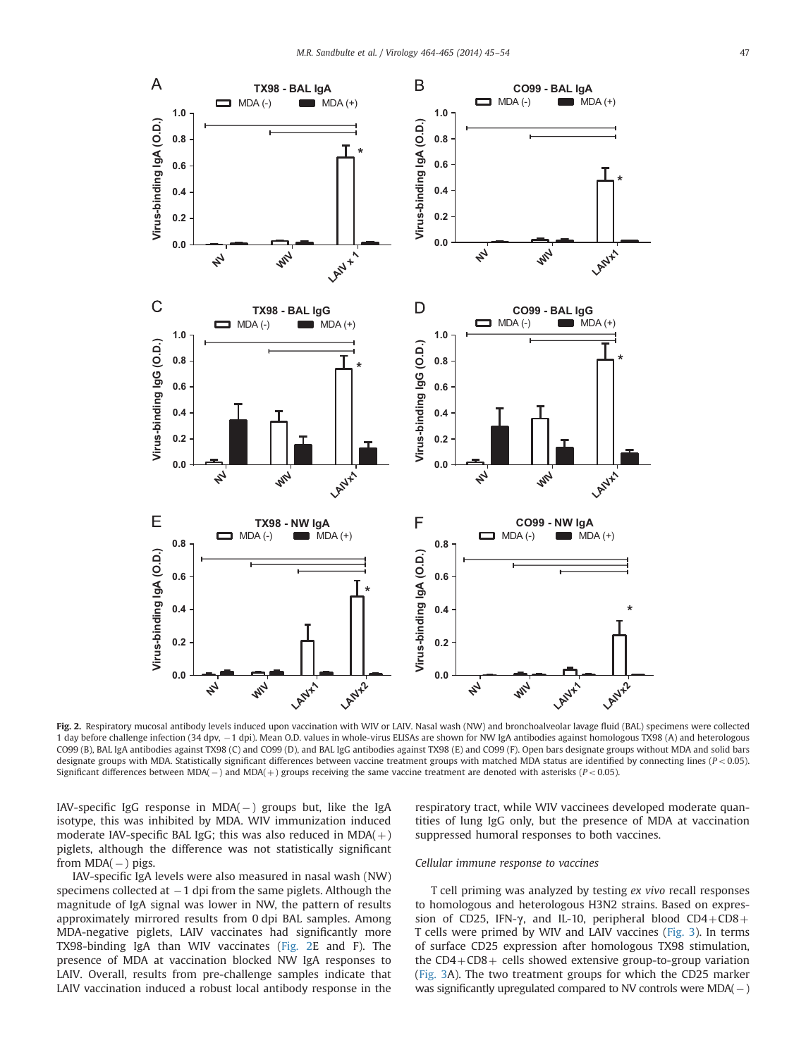<span id="page-2-0"></span>

Fig. 2. Respiratory mucosal antibody levels induced upon vaccination with WIV or LAIV. Nasal wash (NW) and bronchoalveolar lavage fluid (BAL) specimens were collected 1 day before challenge infection (34 dpv,  $-1$  dpi). Mean O.D. values in whole-virus ELISAs are shown for NW IgA antibodies against homologous TX98 (A) and heterologous CO99 (B), BAL IgA antibodies against TX98 (C) and CO99 (D), and BAL IgG antibodies against TX98 (E) and CO99 (F). Open bars designate groups without MDA and solid bars designate groups with MDA. Statistically significant differences between vaccine treatment groups with matched MDA status are identified by connecting lines ( $P < 0.05$ ). Significant differences between MDA( $-$ ) and MDA( $+$ ) groups receiving the same vaccine treatment are denoted with asterisks ( $P < 0.05$ ).

 $IAV-specific IgG response in MDA(-) groups but, like the IgA$ isotype, this was inhibited by MDA. WIV immunization induced moderate IAV-specific BAL IgG; this was also reduced in  $MDA(+)$ piglets, although the difference was not statistically significant from  $MDA(-)$  pigs.

IAV-specific IgA levels were also measured in nasal wash (NW) specimens collected at  $-1$  dpi from the same piglets. Although the magnitude of IgA signal was lower in NW, the pattern of results approximately mirrored results from 0 dpi BAL samples. Among MDA-negative piglets, LAIV vaccinates had significantly more TX98-binding IgA than WIV vaccinates (Fig. 2E and F). The presence of MDA at vaccination blocked NW IgA responses to LAIV. Overall, results from pre-challenge samples indicate that LAIV vaccination induced a robust local antibody response in the respiratory tract, while WIV vaccinees developed moderate quantities of lung IgG only, but the presence of MDA at vaccination suppressed humoral responses to both vaccines.

## Cellular immune response to vaccines

T cell priming was analyzed by testing ex vivo recall responses to homologous and heterologous H3N2 strains. Based on expression of CD25, IFN- $\gamma$ , and IL-10, peripheral blood CD4+CD8+ T cells were primed by WIV and LAIV vaccines ([Fig. 3\)](#page-3-0). In terms of surface CD25 expression after homologous TX98 stimulation, the  $CD4+CD8+$  cells showed extensive group-to-group variation ([Fig. 3A](#page-3-0)). The two treatment groups for which the CD25 marker was significantly upregulated compared to NV controls were  $MDA(-)$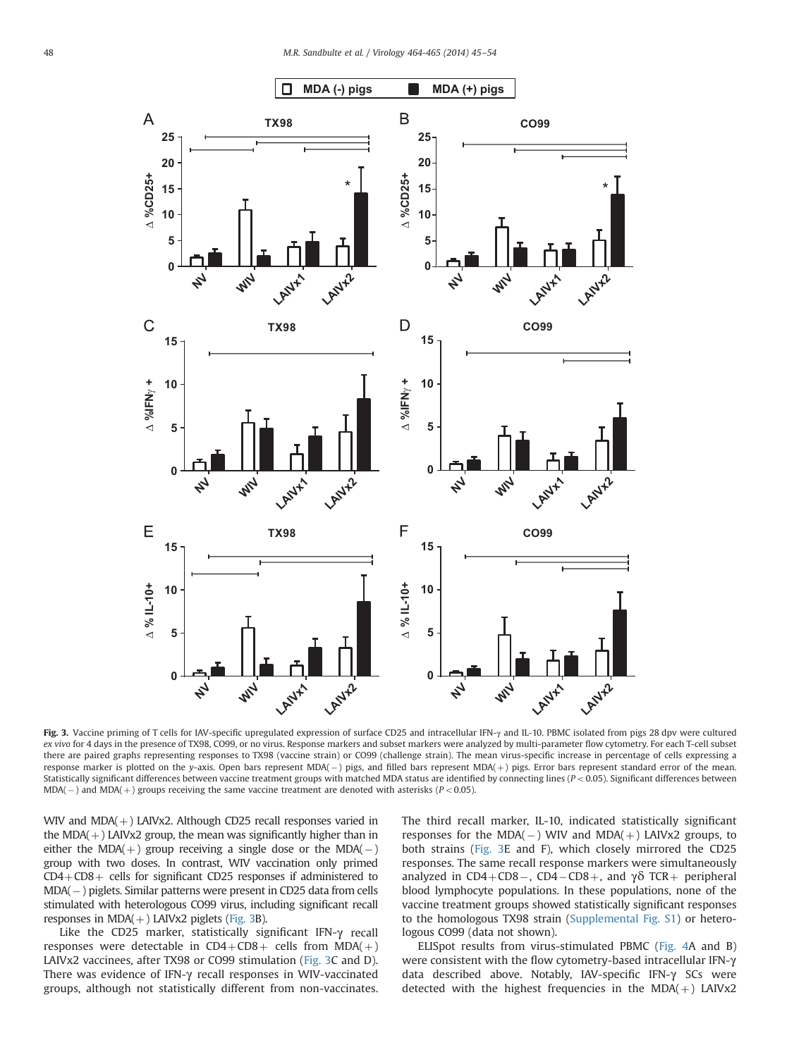<span id="page-3-0"></span>

Fig. 3. Vaccine priming of T cells for IAV-specific upregulated expression of surface CD25 and intracellular IFN-y and IL-10. PBMC isolated from pigs 28 dpv were cultured ex vivo for 4 days in the presence of TX98, CO99, or no virus. Response markers and subset markers were analyzed by multi-parameter flow cytometry. For each T-cell subset there are paired graphs representing responses to TX98 (vaccine strain) or CO99 (challenge strain). The mean virus-specific increase in percentage of cells expressing a response marker is plotted on the y-axis. Open bars represent MDA(– ) pigs, and filled bars represent MDA(+) pigs. Error bars represent standard error of the mean. Statistically significant differences between vaccine treatment groups with matched MDA status are identified by connecting lines ( $P < 0.05$ ). Significant differences between  $MDA(-)$  and  $MDA(+)$  groups receiving the same vaccine treatment are denoted with asterisks ( $P < 0.05$ ).

WIV and  $MDA(+)$  LAIVx2. Although CD25 recall responses varied in the MDA $(+)$  LAIVx2 group, the mean was significantly higher than in either the MDA( $+$ ) group receiving a single dose or the MDA( $-$ ) group with two doses. In contrast, WIV vaccination only primed  $CD4+CD8+$  cells for significant CD25 responses if administered to MDA(-) piglets. Similar patterns were present in CD25 data from cells stimulated with heterologous CO99 virus, including significant recall responses in MDA $(+)$  LAIVx2 piglets (Fig. 3B).

Like the CD25 marker, statistically significant IFN-γ recall responses were detectable in  $CD4+CD8+$  cells from MDA( $+)$ LAIVx2 vaccinees, after TX98 or CO99 stimulation (Fig. 3C and D). There was evidence of IFN-γ recall responses in WIV-vaccinated groups, although not statistically different from non-vaccinates.

The third recall marker, IL-10, indicated statistically significant responses for the MDA( $-$ ) WIV and MDA( $+$ ) LAIVx2 groups, to both strains (Fig. 3E and F), which closely mirrored the CD25 responses. The same recall response markers were simultaneously analyzed in  $CD4+CD8-$ ,  $CD4-CD8+$ , and  $\gamma\delta$  TCR+ peripheral blood lymphocyte populations. In these populations, none of the vaccine treatment groups showed statistically significant responses to the homologous TX98 strain ([Supplemental Fig. S1\)](#page-8-0) or heterologous CO99 (data not shown).

ELISpot results from virus-stimulated PBMC ([Fig. 4A](#page-4-0) and B) were consistent with the flow cytometry-based intracellular IFN-γ data described above. Notably, IAV-specific IFN-γ SCs were detected with the highest frequencies in the MDA( $+$ ) LAIVx2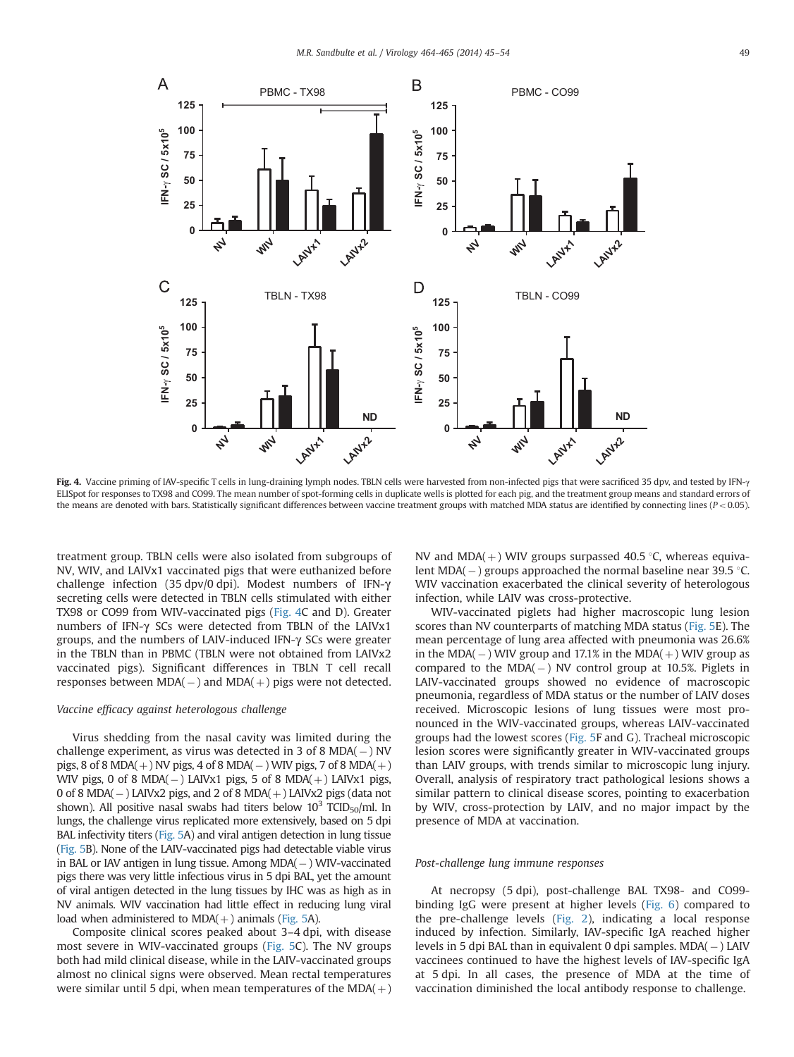<span id="page-4-0"></span>

Fig. 4. Vaccine priming of IAV-specific T cells in lung-draining lymph nodes. TBLN cells were harvested from non-infected pigs that were sacrificed 35 dpv, and tested by IFN- $\gamma$ ELISpot for responses to TX98 and CO99. The mean number of spot-forming cells in duplicate wells is plotted for each pig, and the treatment group means and standard errors of the means are denoted with bars. Statistically significant differences between vaccine treatment groups with matched MDA status are identified by connecting lines ( $P < 0.05$ ).

treatment group. TBLN cells were also isolated from subgroups of NV, WIV, and LAIVx1 vaccinated pigs that were euthanized before challenge infection (35 dpv/0 dpi). Modest numbers of IFN-γ secreting cells were detected in TBLN cells stimulated with either TX98 or CO99 from WIV-vaccinated pigs (Fig. 4C and D). Greater numbers of IFN-γ SCs were detected from TBLN of the LAIVx1 groups, and the numbers of LAIV-induced IFN-γ SCs were greater in the TBLN than in PBMC (TBLN were not obtained from LAIVx2 vaccinated pigs). Significant differences in TBLN T cell recall responses between  $MDA(-)$  and  $MDA(+)$  pigs were not detected.

## Vaccine efficacy against heterologous challenge

Virus shedding from the nasal cavity was limited during the challenge experiment, as virus was detected in 3 of 8 MDA(-) NV pigs, 8 of 8 MDA( $+$ ) NV pigs, 4 of 8 MDA( $-$ ) WIV pigs, 7 of 8 MDA( $+$ ) WIV pigs, 0 of 8 MDA( $-$ ) LAIVx1 pigs, 5 of 8 MDA( $+$ ) LAIVx1 pigs, 0 of 8 MDA( $-$ ) LAIVx2 pigs, and 2 of 8 MDA( $+$ ) LAIVx2 pigs (data not shown). All positive nasal swabs had titers below  $10^3$  TCID<sub>50</sub>/ml. In lungs, the challenge virus replicated more extensively, based on 5 dpi BAL infectivity titers [\(Fig. 5A](#page-5-0)) and viral antigen detection in lung tissue [\(Fig. 5](#page-5-0)B). None of the LAIV-vaccinated pigs had detectable viable virus in BAL or IAV antigen in lung tissue. Among MDA(-) WIV-vaccinated pigs there was very little infectious virus in 5 dpi BAL, yet the amount of viral antigen detected in the lung tissues by IHC was as high as in NV animals. WIV vaccination had little effect in reducing lung viral load when administered to  $MDA(+)$  animals [\(Fig. 5A](#page-5-0)).

Composite clinical scores peaked about 3–4 dpi, with disease most severe in WIV-vaccinated groups [\(Fig. 5C](#page-5-0)). The NV groups both had mild clinical disease, while in the LAIV-vaccinated groups almost no clinical signs were observed. Mean rectal temperatures were similar until 5 dpi, when mean temperatures of the  $MDA(+)$  NV and MDA( $+$ ) WIV groups surpassed 40.5 °C, whereas equivalent MDA( – ) groups approached the normal baseline near 39.5 °C.<br>-WIV vaccination exacerbated the clinical severity of heterologous infection, while LAIV was cross-protective.

WIV-vaccinated piglets had higher macroscopic lung lesion scores than NV counterparts of matching MDA status ([Fig. 5E](#page-5-0)). The mean percentage of lung area affected with pneumonia was 26.6% in the MDA( $-$ ) WIV group and 17.1% in the MDA( $+$ ) WIV group as compared to the  $MDA(-)$  NV control group at 10.5%. Piglets in LAIV-vaccinated groups showed no evidence of macroscopic pneumonia, regardless of MDA status or the number of LAIV doses received. Microscopic lesions of lung tissues were most pronounced in the WIV-vaccinated groups, whereas LAIV-vaccinated groups had the lowest scores [\(Fig. 5](#page-5-0)F and G). Tracheal microscopic lesion scores were significantly greater in WIV-vaccinated groups than LAIV groups, with trends similar to microscopic lung injury. Overall, analysis of respiratory tract pathological lesions shows a similar pattern to clinical disease scores, pointing to exacerbation by WIV, cross-protection by LAIV, and no major impact by the presence of MDA at vaccination.

## Post-challenge lung immune responses

At necropsy (5 dpi), post-challenge BAL TX98- and CO99 binding IgG were present at higher levels ([Fig. 6](#page-6-0)) compared to the pre-challenge levels ([Fig. 2](#page-2-0)), indicating a local response induced by infection. Similarly, IAV-specific IgA reached higher levels in 5 dpi BAL than in equivalent 0 dpi samples. MDA(-) LAIV vaccinees continued to have the highest levels of IAV-specific IgA at 5 dpi. In all cases, the presence of MDA at the time of vaccination diminished the local antibody response to challenge.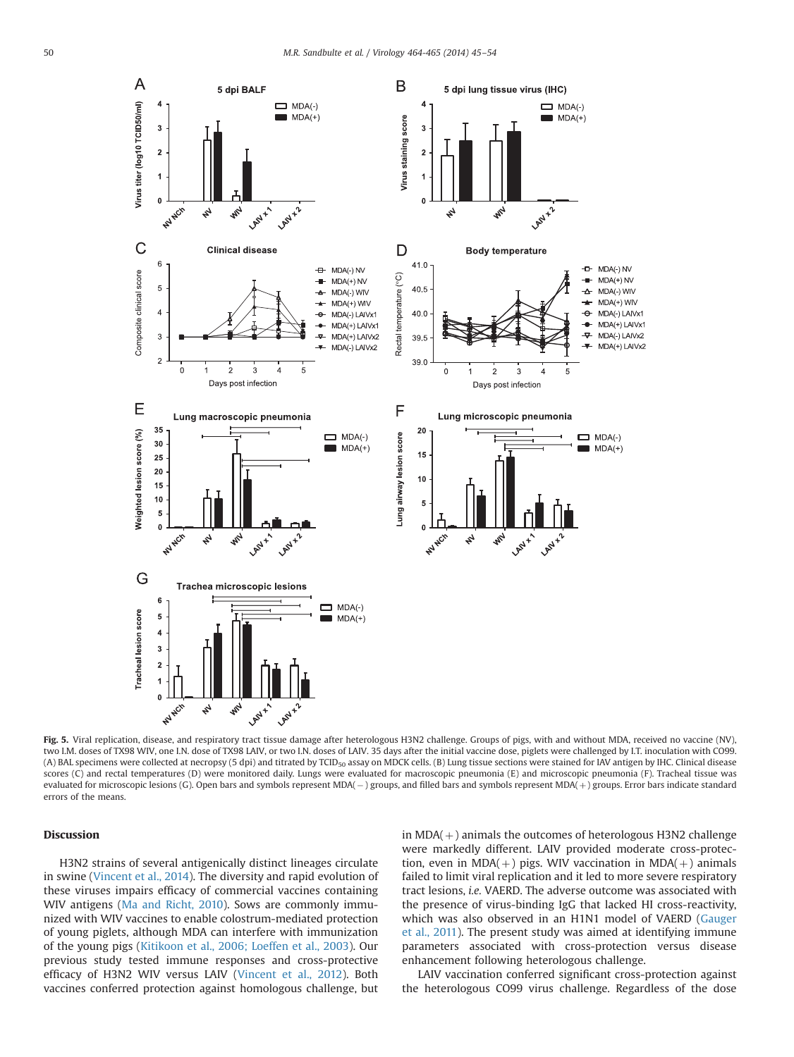<span id="page-5-0"></span>

Fig. 5. Viral replication, disease, and respiratory tract tissue damage after heterologous H3N2 challenge. Groups of pigs, with and without MDA, received no vaccine (NV), two I.M. doses of TX98 WIV, one I.N. dose of TX98 LAIV, or two I.N. doses of LAIV. 35 days after the initial vaccine dose, piglets were challenged by I.T. inoculation with CO99. (A) BAL specimens were collected at necropsy (5 dpi) and titrated by TCID<sub>50</sub> assay on MDCK cells. (B) Lung tissue sections were stained for IAV antigen by IHC. Clinical disease scores (C) and rectal temperatures (D) were monitored daily. Lungs were evaluated for macroscopic pneumonia (E) and microscopic pneumonia (F). Tracheal tissue was evaluated for microscopic lesions (G). Open bars and symbols represent MDA( – ) groups, and filled bars and symbols represent MDA( + ) groups. Error bars indicate standard errors of the means.

## Discussion

H3N2 strains of several antigenically distinct lineages circulate in swine [\(Vincent et al., 2014\)](#page-9-0). The diversity and rapid evolution of these viruses impairs efficacy of commercial vaccines containing WIV antigens [\(Ma and Richt, 2010](#page-9-0)). Sows are commonly immunized with WIV vaccines to enable colostrum-mediated protection of young piglets, although MDA can interfere with immunization of the young pigs ([Kitikoon et al., 2006; Loeffen et al., 2003\)](#page-9-0). Our previous study tested immune responses and cross-protective efficacy of H3N2 WIV versus LAIV [\(Vincent et al., 2012\)](#page-9-0). Both vaccines conferred protection against homologous challenge, but in  $MDA(+)$  animals the outcomes of heterologous H3N2 challenge were markedly different. LAIV provided moderate cross-protection, even in MDA( $+)$  pigs. WIV vaccination in MDA( $+)$  animals failed to limit viral replication and it led to more severe respiratory tract lesions, i.e. VAERD. The adverse outcome was associated with the presence of virus-binding IgG that lacked HI cross-reactivity, which was also observed in an H1N1 model of VAERD ([Gauger](#page-9-0) [et al., 2011](#page-9-0)). The present study was aimed at identifying immune parameters associated with cross-protection versus disease enhancement following heterologous challenge.

LAIV vaccination conferred significant cross-protection against the heterologous CO99 virus challenge. Regardless of the dose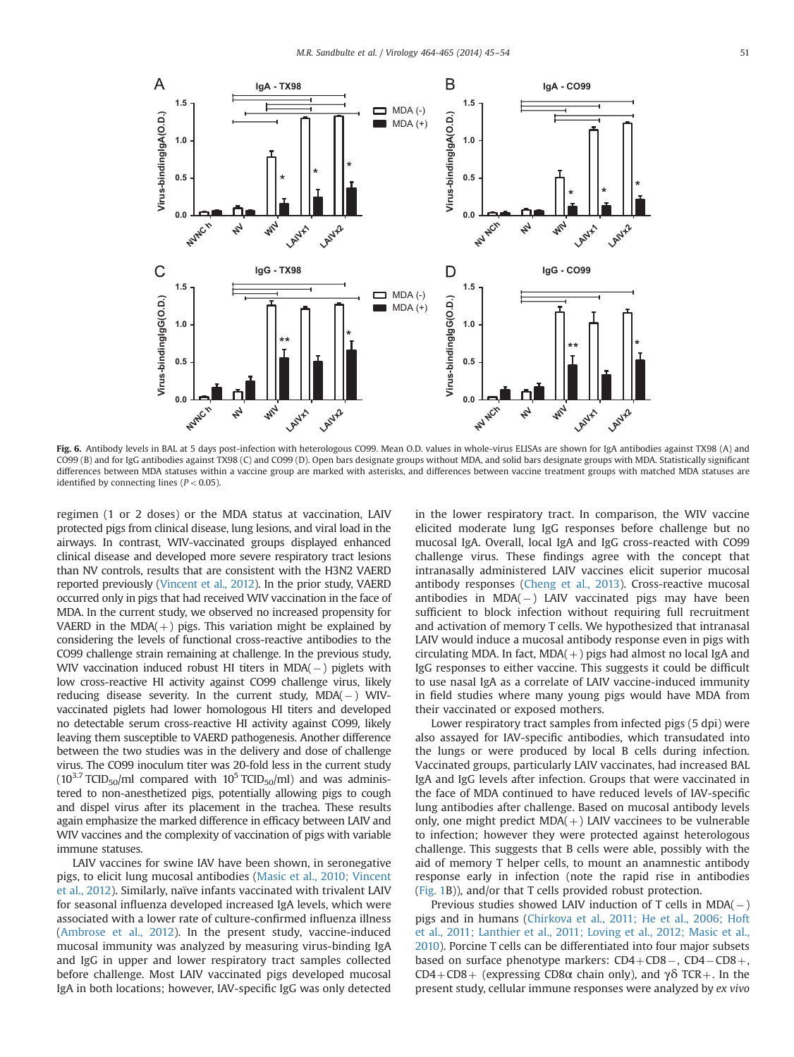<span id="page-6-0"></span>

Fig. 6. Antibody levels in BAL at 5 days post-infection with heterologous CO99. Mean O.D. values in whole-virus ELISAs are shown for IgA antibodies against TX98 (A) and CO99 (B) and for IgG antibodies against TX98 (C) and CO99 (D). Open bars designate groups without MDA, and solid bars designate groups with MDA. Statistically significant differences between MDA statuses within a vaccine group are marked with asterisks, and differences between vaccine treatment groups with matched MDA statuses are identified by connecting lines ( $P < 0.05$ ).

regimen (1 or 2 doses) or the MDA status at vaccination, LAIV protected pigs from clinical disease, lung lesions, and viral load in the airways. In contrast, WIV-vaccinated groups displayed enhanced clinical disease and developed more severe respiratory tract lesions than NV controls, results that are consistent with the H3N2 VAERD reported previously [\(Vincent et al., 2012\)](#page-9-0). In the prior study, VAERD occurred only in pigs that had received WIV vaccination in the face of MDA. In the current study, we observed no increased propensity for VAERD in the MDA( $+$ ) pigs. This variation might be explained by considering the levels of functional cross-reactive antibodies to the CO99 challenge strain remaining at challenge. In the previous study, WIV vaccination induced robust HI titers in MDA(-) piglets with low cross-reactive HI activity against CO99 challenge virus, likely reducing disease severity. In the current study, MDA(-) WIVvaccinated piglets had lower homologous HI titers and developed no detectable serum cross-reactive HI activity against CO99, likely leaving them susceptible to VAERD pathogenesis. Another difference between the two studies was in the delivery and dose of challenge virus. The CO99 inoculum titer was 20-fold less in the current study ( $10^{3.7}$  TCID<sub>50</sub>/ml compared with  $10^5$  TCID<sub>50</sub>/ml) and was administered to non-anesthetized pigs, potentially allowing pigs to cough and dispel virus after its placement in the trachea. These results again emphasize the marked difference in efficacy between LAIV and WIV vaccines and the complexity of vaccination of pigs with variable immune statuses.

LAIV vaccines for swine IAV have been shown, in seronegative pigs, to elicit lung mucosal antibodies ([Masic et al., 2010; Vincent](#page-9-0) [et al., 2012](#page-9-0)). Similarly, naïve infants vaccinated with trivalent LAIV for seasonal influenza developed increased IgA levels, which were associated with a lower rate of culture-confirmed influenza illness ([Ambrose et al., 2012\)](#page-9-0). In the present study, vaccine-induced mucosal immunity was analyzed by measuring virus-binding IgA and IgG in upper and lower respiratory tract samples collected before challenge. Most LAIV vaccinated pigs developed mucosal IgA in both locations; however, IAV-specific IgG was only detected in the lower respiratory tract. In comparison, the WIV vaccine elicited moderate lung IgG responses before challenge but no mucosal IgA. Overall, local IgA and IgG cross-reacted with CO99 challenge virus. These findings agree with the concept that intranasally administered LAIV vaccines elicit superior mucosal antibody responses [\(Cheng et al., 2013](#page-9-0)). Cross-reactive mucosal antibodies in MDA(-) LAIV vaccinated pigs may have been sufficient to block infection without requiring full recruitment and activation of memory T cells. We hypothesized that intranasal LAIV would induce a mucosal antibody response even in pigs with circulating MDA. In fact,  $MDA(+)$  pigs had almost no local IgA and IgG responses to either vaccine. This suggests it could be difficult to use nasal IgA as a correlate of LAIV vaccine-induced immunity in field studies where many young pigs would have MDA from their vaccinated or exposed mothers.

Lower respiratory tract samples from infected pigs (5 dpi) were also assayed for IAV-specific antibodies, which transudated into the lungs or were produced by local B cells during infection. Vaccinated groups, particularly LAIV vaccinates, had increased BAL IgA and IgG levels after infection. Groups that were vaccinated in the face of MDA continued to have reduced levels of IAV-specific lung antibodies after challenge. Based on mucosal antibody levels only, one might predict  $MDA(+)$  LAIV vaccinees to be vulnerable to infection; however they were protected against heterologous challenge. This suggests that B cells were able, possibly with the aid of memory T helper cells, to mount an anamnestic antibody response early in infection (note the rapid rise in antibodies ([Fig. 1](#page-1-0)B)), and/or that T cells provided robust protection.

Previous studies showed LAIV induction of T cells in  $MDA(-)$ pigs and in humans ([Chirkova et al., 2011; He et al., 2006; Hoft](#page-9-0) [et al., 2011; Lanthier et al., 2011; Loving et al., 2012; Masic et al.,](#page-9-0) [2010\)](#page-9-0). Porcine T cells can be differentiated into four major subsets based on surface phenotype markers:  $CD4+CD8-, CD4-CD8+,$ CD4+CD8+ (expressing CD8 $\alpha$  chain only), and  $\gamma\delta$  TCR+. In the present study, cellular immune responses were analyzed by ex vivo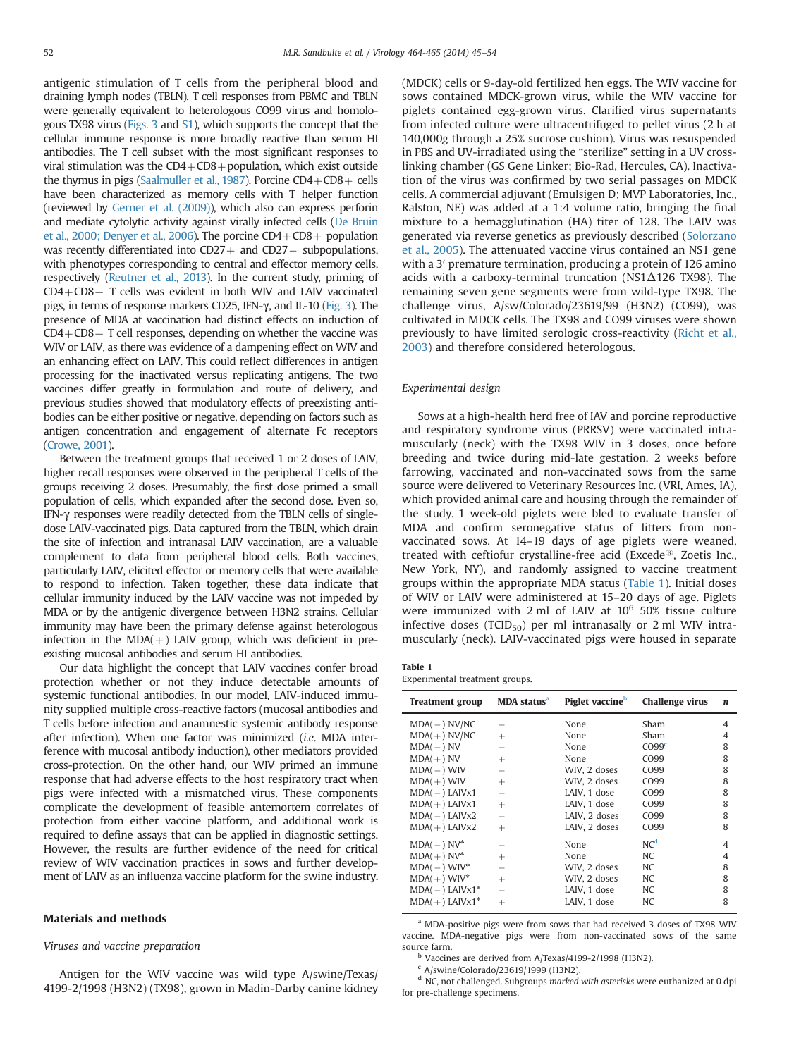<span id="page-7-0"></span>antigenic stimulation of T cells from the peripheral blood and draining lymph nodes (TBLN). T cell responses from PBMC and TBLN were generally equivalent to heterologous CO99 virus and homologous TX98 virus [\(Figs. 3](#page-3-0) and [S1](#page-8-0)), which supports the concept that the cellular immune response is more broadly reactive than serum HI antibodies. The T cell subset with the most significant responses to viral stimulation was the  $CD4 + CD8 +$  population, which exist outside the thymus in pigs [\(Saalmuller et al., 1987\)](#page-9-0). Porcine  $CD4+CD8+$  cells have been characterized as memory cells with T helper function (reviewed by [Gerner et al. \(2009\)\)](#page-9-0), which also can express perforin and mediate cytolytic activity against virally infected cells [\(De Bruin](#page-9-0) [et al., 2000; Denyer et al., 2006\)](#page-9-0). The porcine  $CD4+CD8+$  population was recently differentiated into  $CD27+$  and  $CD27-$  subpopulations, with phenotypes corresponding to central and effector memory cells, respectively ([Reutner et al., 2013\)](#page-9-0). In the current study, priming of  $CD4+CD8+$  T cells was evident in both WIV and LAIV vaccinated pigs, in terms of response markers CD25, IFN-γ, and IL-10 ([Fig. 3\)](#page-3-0). The presence of MDA at vaccination had distinct effects on induction of  $CD4+CD8+T$  cell responses, depending on whether the vaccine was WIV or LAIV, as there was evidence of a dampening effect on WIV and an enhancing effect on LAIV. This could reflect differences in antigen processing for the inactivated versus replicating antigens. The two vaccines differ greatly in formulation and route of delivery, and previous studies showed that modulatory effects of preexisting antibodies can be either positive or negative, depending on factors such as antigen concentration and engagement of alternate Fc receptors [\(Crowe, 2001\)](#page-9-0).

Between the treatment groups that received 1 or 2 doses of LAIV, higher recall responses were observed in the peripheral T cells of the groups receiving 2 doses. Presumably, the first dose primed a small population of cells, which expanded after the second dose. Even so, IFN-γ responses were readily detected from the TBLN cells of singledose LAIV-vaccinated pigs. Data captured from the TBLN, which drain the site of infection and intranasal LAIV vaccination, are a valuable complement to data from peripheral blood cells. Both vaccines, particularly LAIV, elicited effector or memory cells that were available to respond to infection. Taken together, these data indicate that cellular immunity induced by the LAIV vaccine was not impeded by MDA or by the antigenic divergence between H3N2 strains. Cellular immunity may have been the primary defense against heterologous infection in the MDA( $+$ ) LAIV group, which was deficient in preexisting mucosal antibodies and serum HI antibodies.

Our data highlight the concept that LAIV vaccines confer broad protection whether or not they induce detectable amounts of systemic functional antibodies. In our model, LAIV-induced immunity supplied multiple cross-reactive factors (mucosal antibodies and T cells before infection and anamnestic systemic antibody response after infection). When one factor was minimized (i.e. MDA interference with mucosal antibody induction), other mediators provided cross-protection. On the other hand, our WIV primed an immune response that had adverse effects to the host respiratory tract when pigs were infected with a mismatched virus. These components complicate the development of feasible antemortem correlates of protection from either vaccine platform, and additional work is required to define assays that can be applied in diagnostic settings. However, the results are further evidence of the need for critical review of WIV vaccination practices in sows and further development of LAIV as an influenza vaccine platform for the swine industry.

#### Materials and methods

#### Viruses and vaccine preparation

Antigen for the WIV vaccine was wild type A/swine/Texas/ 4199-2/1998 (H3N2) (TX98), grown in Madin-Darby canine kidney (MDCK) cells or 9-day-old fertilized hen eggs. The WIV vaccine for sows contained MDCK-grown virus, while the WIV vaccine for piglets contained egg-grown virus. Clarified virus supernatants from infected culture were ultracentrifuged to pellet virus (2 h at 140,000g through a 25% sucrose cushion). Virus was resuspended in PBS and UV-irradiated using the "sterilize" setting in a UV crosslinking chamber (GS Gene Linker; Bio-Rad, Hercules, CA). Inactivation of the virus was confirmed by two serial passages on MDCK cells. A commercial adjuvant (Emulsigen D; MVP Laboratories, Inc., Ralston, NE) was added at a 1:4 volume ratio, bringing the final mixture to a hemagglutination (HA) titer of 128. The LAIV was generated via reverse genetics as previously described [\(Solorzano](#page-9-0) [et al., 2005](#page-9-0)). The attenuated vaccine virus contained an NS1 gene with a 3<sup>'</sup> premature termination, producing a protein of 126 amino acids with a carboxy-terminal truncation (NS1Δ126 TX98). The remaining seven gene segments were from wild-type TX98. The challenge virus, A/sw/Colorado/23619/99 (H3N2) (CO99), was cultivated in MDCK cells. The TX98 and CO99 viruses were shown previously to have limited serologic cross-reactivity ([Richt et al.,](#page-9-0) [2003\)](#page-9-0) and therefore considered heterologous.

# Experimental design

Sows at a high-health herd free of IAV and porcine reproductive and respiratory syndrome virus (PRRSV) were vaccinated intramuscularly (neck) with the TX98 WIV in 3 doses, once before breeding and twice during mid-late gestation. 2 weeks before farrowing, vaccinated and non-vaccinated sows from the same source were delivered to Veterinary Resources Inc. (VRI, Ames, IA), which provided animal care and housing through the remainder of the study. 1 week-old piglets were bled to evaluate transfer of MDA and confirm seronegative status of litters from nonvaccinated sows. At 14–19 days of age piglets were weaned, treated with ceftiofur crystalline-free acid (Excede<sup>®</sup>, Zoetis Inc., New York, NY), and randomly assigned to vaccine treatment groups within the appropriate MDA status (Table 1). Initial doses of WIV or LAIV were administered at 15–20 days of age. Piglets were immunized with 2 ml of LAIV at  $10^6$  50% tissue culture infective doses (TCID<sub>50</sub>) per ml intranasally or 2 ml WIV intramuscularly (neck). LAIV-vaccinated pigs were housed in separate

| . .<br>$\sim$ |  |
|---------------|--|
|               |  |

Experimental treatment groups.

| <b>Treatment group</b>       | MDA status <sup>a</sup> | Piglet vaccine <sup>b</sup> | Challenge virus   | $\boldsymbol{n}$ |
|------------------------------|-------------------------|-----------------------------|-------------------|------------------|
| $MDA(-) NV/NC$               |                         | None                        | Sham              | 4                |
| $MDA(+) NV/NC$               | $^{+}$                  | None                        | Sham              | 4                |
| $MDA(-) NV$                  |                         | None                        | CO99 <sup>c</sup> | 8                |
| $MDA(+) NV$                  | $^{+}$                  | None                        | CO99              | 8                |
| $MDA(-)$ WIV                 |                         | WIV, 2 doses                | CO <sub>99</sub>  | 8                |
| $MDA(+)$ WIV                 | $^{+}$                  | WIV, 2 doses                | CO <sub>99</sub>  | 8                |
| $MDA(-)$ LAIVx1              |                         | LAIV. 1 dose                | CO <sub>99</sub>  | 8                |
| $MDA(+)$ LAIVx1              | $^{+}$                  | LAIV. 1 dose                | CO <sub>99</sub>  | 8                |
| $MDA(-)$ LAIVx2              |                         | LAIV. 2 doses               | CO <sub>99</sub>  | 8                |
| $MDA(+)$ LAIVx2              | $^{+}$                  | LAIV. 2 doses               | CO <sub>99</sub>  | 8                |
| $MDA(-) NV^*$                |                         | None                        | NC <sup>d</sup>   | 4                |
| $MDA(+) NV*$                 | $^{+}$                  | None                        | <b>NC</b>         | 4                |
| $MDA(-) WIV^*$               |                         | WIV, 2 doses                | NC                | 8                |
| $MDA(+) WIV^*$               | $^{+}$                  | WIV, 2 doses                | NC.               | 8                |
| $MDA(-)$ LAIVx1 <sup>*</sup> |                         | LAIV, 1 dose                | NC                | 8                |
| $MDA(+)$ LAIVx1*             | $^{+}$                  | LAIV, 1 dose                | NC                | 8                |

<sup>a</sup> MDA-positive pigs were from sows that had received 3 doses of TX98 WIV vaccine. MDA-negative pigs were from non-vaccinated sows of the same source farm.

<sup>b</sup> Vaccines are derived from A/Texas/4199-2/1998 (H3N2).

 $c$  A/swine/Colorado/23619/1999 (H3N2).

 $d$  NC, not challenged. Subgroups marked with asterisks were euthanized at 0 dpi for pre-challenge specimens.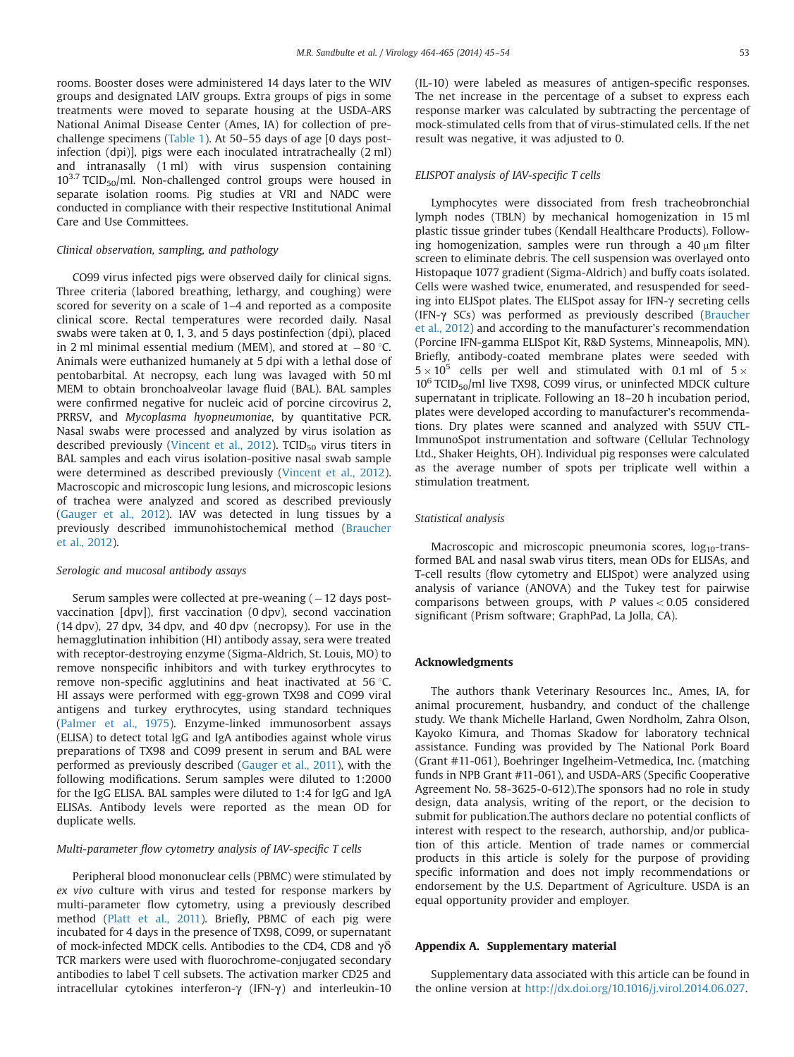<span id="page-8-0"></span>rooms. Booster doses were administered 14 days later to the WIV groups and designated LAIV groups. Extra groups of pigs in some treatments were moved to separate housing at the USDA-ARS National Animal Disease Center (Ames, IA) for collection of prechallenge specimens ([Table 1\)](#page-7-0). At 50–55 days of age [0 days postinfection (dpi)], pigs were each inoculated intratracheally (2 ml) and intranasally (1 ml) with virus suspension containing  $10^{3.7}$  TCID<sub>50</sub>/ml. Non-challenged control groups were housed in separate isolation rooms. Pig studies at VRI and NADC were conducted in compliance with their respective Institutional Animal Care and Use Committees.

# Clinical observation, sampling, and pathology

CO99 virus infected pigs were observed daily for clinical signs. Three criteria (labored breathing, lethargy, and coughing) were scored for severity on a scale of 1–4 and reported as a composite clinical score. Rectal temperatures were recorded daily. Nasal swabs were taken at 0, 1, 3, and 5 days postinfection (dpi), placed in 2 ml minimal essential medium (MEM), and stored at  $-80$  °C. Animals were euthanized humanely at 5 dpi with a lethal dose of pentobarbital. At necropsy, each lung was lavaged with 50 ml MEM to obtain bronchoalveolar lavage fluid (BAL). BAL samples were confirmed negative for nucleic acid of porcine circovirus 2, PRRSV, and Mycoplasma hyopneumoniae, by quantitative PCR. Nasal swabs were processed and analyzed by virus isolation as described previously [\(Vincent et al., 2012\)](#page-9-0). TCID $_{50}$  virus titers in BAL samples and each virus isolation-positive nasal swab sample were determined as described previously ([Vincent et al., 2012\)](#page-9-0). Macroscopic and microscopic lung lesions, and microscopic lesions of trachea were analyzed and scored as described previously ([Gauger et al., 2012](#page-9-0)). IAV was detected in lung tissues by a previously described immunohistochemical method ([Braucher](#page-9-0) [et al., 2012](#page-9-0)).

## Serologic and mucosal antibody assays

Serum samples were collected at pre-weaning ( – 12 days postvaccination [dpv]), first vaccination (0 dpv), second vaccination (14 dpv), 27 dpv, 34 dpv, and 40 dpv (necropsy). For use in the hemagglutination inhibition (HI) antibody assay, sera were treated with receptor-destroying enzyme (Sigma-Aldrich, St. Louis, MO) to remove nonspecific inhibitors and with turkey erythrocytes to remove non-specific agglutinins and heat inactivated at 56 $\degree$ C. HI assays were performed with egg-grown TX98 and CO99 viral antigens and turkey erythrocytes, using standard techniques ([Palmer et al., 1975](#page-9-0)). Enzyme-linked immunosorbent assays (ELISA) to detect total IgG and IgA antibodies against whole virus preparations of TX98 and CO99 present in serum and BAL were performed as previously described [\(Gauger et al., 2011\)](#page-9-0), with the following modifications. Serum samples were diluted to 1:2000 for the IgG ELISA. BAL samples were diluted to 1:4 for IgG and IgA ELISAs. Antibody levels were reported as the mean OD for duplicate wells.

## Multi-parameter flow cytometry analysis of IAV-specific T cells

Peripheral blood mononuclear cells (PBMC) were stimulated by ex vivo culture with virus and tested for response markers by multi-parameter flow cytometry, using a previously described method ([Platt et al., 2011\)](#page-9-0). Briefly, PBMC of each pig were incubated for 4 days in the presence of TX98, CO99, or supernatant of mock-infected MDCK cells. Antibodies to the CD4, CD8 and γδ TCR markers were used with fluorochrome-conjugated secondary antibodies to label T cell subsets. The activation marker CD25 and intracellular cytokines interferon-γ (IFN-γ) and interleukin-10

(IL-10) were labeled as measures of antigen-specific responses. The net increase in the percentage of a subset to express each response marker was calculated by subtracting the percentage of mock-stimulated cells from that of virus-stimulated cells. If the net result was negative, it was adjusted to 0.

## ELISPOT analysis of IAV-specific T cells

Lymphocytes were dissociated from fresh tracheobronchial lymph nodes (TBLN) by mechanical homogenization in 15 ml plastic tissue grinder tubes (Kendall Healthcare Products). Following homogenization, samples were run through a  $40 \mu m$  filter screen to eliminate debris. The cell suspension was overlayed onto Histopaque 1077 gradient (Sigma-Aldrich) and buffy coats isolated. Cells were washed twice, enumerated, and resuspended for seeding into ELISpot plates. The ELISpot assay for IFN-γ secreting cells (IFN-γ SCs) was performed as previously described ([Braucher](#page-9-0) [et al., 2012](#page-9-0)) and according to the manufacturer's recommendation (Porcine IFN-gamma ELISpot Kit, R&D Systems, Minneapolis, MN). Briefly, antibody-coated membrane plates were seeded with  $5 \times 10^5$  cells per well and stimulated with 0.1 ml of  $5 \times$  $10^6$  TCID<sub>50</sub>/ml live TX98, CO99 virus, or uninfected MDCK culture supernatant in triplicate. Following an 18–20 h incubation period, plates were developed according to manufacturer's recommendations. Dry plates were scanned and analyzed with S5UV CTL-ImmunoSpot instrumentation and software (Cellular Technology Ltd., Shaker Heights, OH). Individual pig responses were calculated as the average number of spots per triplicate well within a stimulation treatment.

#### Statistical analysis

Macroscopic and microscopic pneumonia scores,  $log_{10}$ -transformed BAL and nasal swab virus titers, mean ODs for ELISAs, and T-cell results (flow cytometry and ELISpot) were analyzed using analysis of variance (ANOVA) and the Tukey test for pairwise comparisons between groups, with  $P$  values  $< 0.05$  considered significant (Prism software; GraphPad, La Jolla, CA).

## Acknowledgments

The authors thank Veterinary Resources Inc., Ames, IA, for animal procurement, husbandry, and conduct of the challenge study. We thank Michelle Harland, Gwen Nordholm, Zahra Olson, Kayoko Kimura, and Thomas Skadow for laboratory technical assistance. Funding was provided by The National Pork Board (Grant #11-061), Boehringer Ingelheim-Vetmedica, Inc. (matching funds in NPB Grant #11-061), and USDA-ARS (Specific Cooperative Agreement No. 58-3625-0-612).The sponsors had no role in study design, data analysis, writing of the report, or the decision to submit for publication.The authors declare no potential conflicts of interest with respect to the research, authorship, and/or publication of this article. Mention of trade names or commercial products in this article is solely for the purpose of providing specific information and does not imply recommendations or endorsement by the U.S. Department of Agriculture. USDA is an equal opportunity provider and employer.

## Appendix A. Supplementary material

Supplementary data associated with this article can be found in the online version at <http://dx.doi.org/10.1016/j.virol.2014.06.027>.